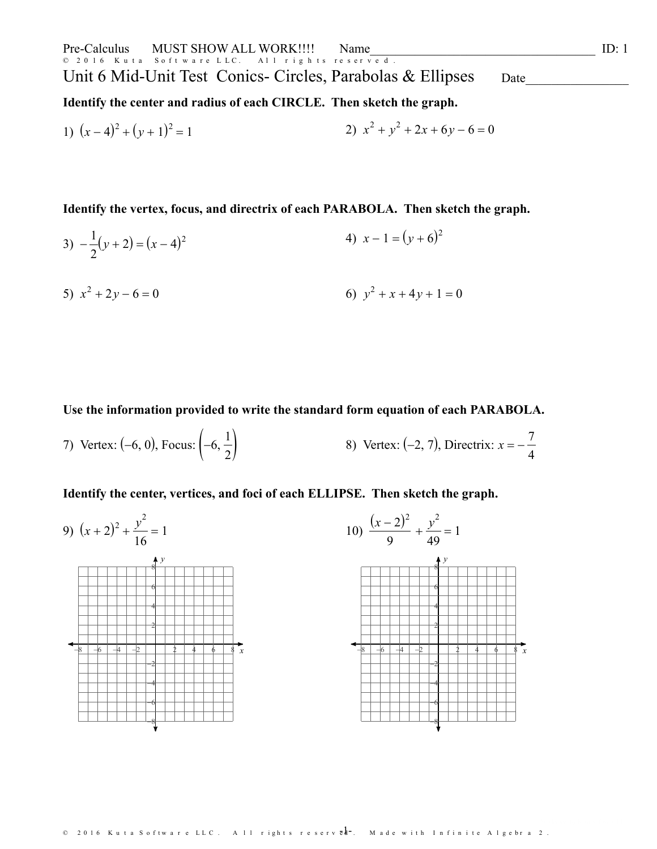**Identify the center and radius ofeach CIRCLE. Then sketch the graph.**

1) 
$$
(x-4)^2 + (y+1)^2 = 1
$$
  
2)  $x^2 + y^2 + 2x + 6y - 6 = 0$ 

**Identify the vertex, focus, and directrix of each PARABOLA. Then sketch the graph.**

3)  $-\frac{1}{2}(y+2)=(x-4)^2$  $2^{\circ}$  and  $\circ$  $(y+2) = (x-4)^2$  4)  $x-1 = (y+6)^2$ 

5) 
$$
x^2 + 2y - 6 = 0
$$
  
6)  $y^2 + x + 4y + 1 = 0$ 

**Use the information provided towrite the standard form equation of each PARABOLA.**

7) Vertex:  $(-6, 0)$ , Focus:  $\left(-6, \frac{1}{2}\right)$  $\frac{1}{2}$  8) Vertex: (-2, 7), Directrix:  $x = -\frac{7}{4}$ 7 4

**Identify the center,vertices, and foci of each ELLIPSE. Then sketch the graph.**

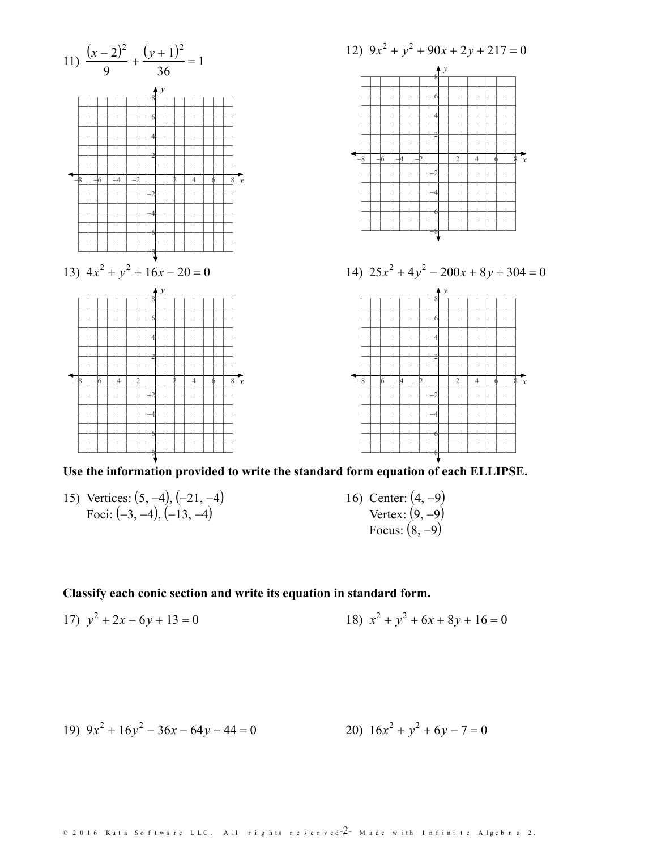

**Use the information provided towrite the standard form equation of each ELLIPSE.**

- 15) Vertices:  $(5, -4)$ ,  $(-21, -4)$ Foci:  $(-3, -4)$ ,  $(-13, -4)$
- 16) Center:  $(4, -9)$ Vertex:  $(9, -9)$ Focus:  $(8, -9)$

## **Classify each conic section and write its equation in standard form.**

17) 
$$
y^2 + 2x - 6y + 13 = 0
$$
  
18)  $x^2 + y^2 + 6x + 8y + 16 = 0$ 

19) 
$$
9x^2 + 16y^2 - 36x - 64y - 44 = 0
$$
  
20)  $16x^2 + y^2 + 6y - 7 = 0$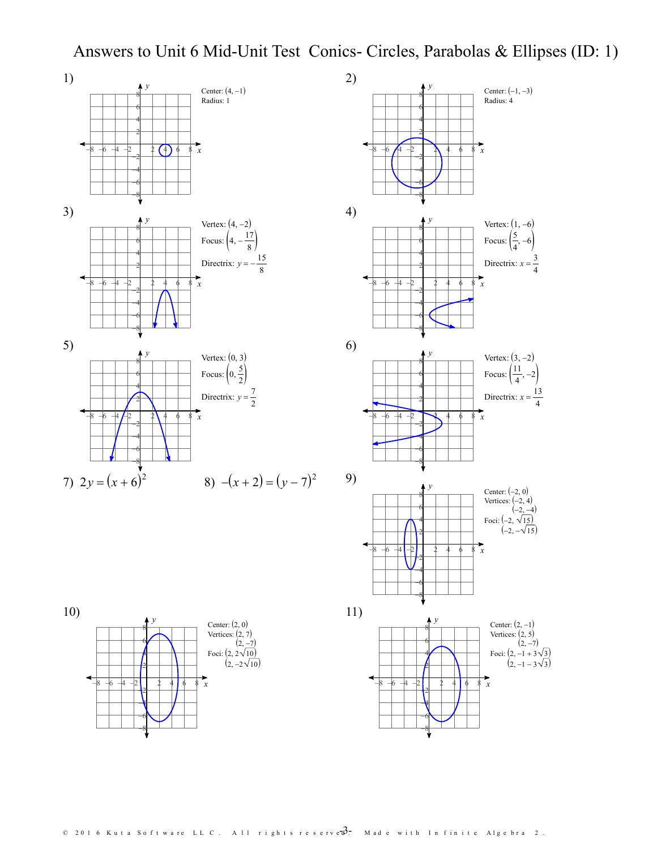## Answers to Unit 6 Mid-Unit Test Conics- Circles, Parabolas & Ellipses (ID: 1)



*x*

 $-8$  -6 -4 -2 | 2 4 6 8 x

 $\begin{array}{c} \begin{array}{c} \text{12} \\ \text{13} \end{array} \\ \text{14} \end{array}$ 



 $\begin{array}{c} \big\uparrow y \\ \hline 8 \big\downarrow \end{array}$  Center: (-1, -3)

Radius: 4

 $4$   $+$   $+$   $+$   $+$   $+$ 6